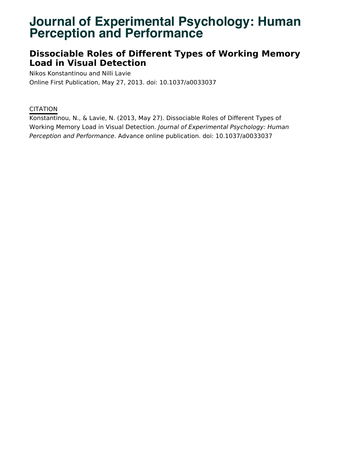# **Journal of Experimental Psychology: Human Perception and Performance**

# **Dissociable Roles of Different Types of Working Memory Load in Visual Detection**

Nikos Konstantinou and Nilli Lavie Online First Publication, May 27, 2013. doi: 10.1037/a0033037

CITATION

Konstantinou, N., & Lavie, N. (2013, May 27). Dissociable Roles of Different Types of Working Memory Load in Visual Detection. Journal of Experimental Psychology: Human Perception and Performance. Advance online publication. doi: 10.1037/a0033037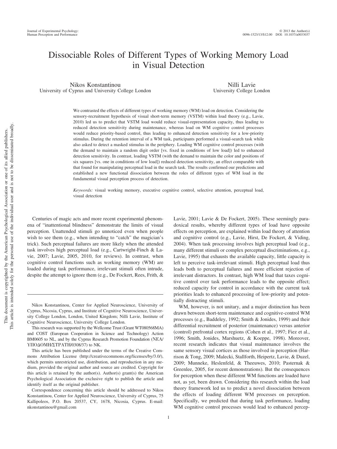# Dissociable Roles of Different Types of Working Memory Load in Visual Detection

Nikos Konstantinou University of Cyprus and University College London

Nilli Lavie University College London

We contrasted the effects of different types of working memory (WM) load on detection. Considering the sensory-recruitment hypothesis of visual short-term memory (VSTM) within load theory (e.g., Lavie, 2010) led us to predict that VSTM load would reduce visual-representation capacity, thus leading to reduced detection sensitivity during maintenance, whereas load on WM cognitive control processes would reduce priority-based control, thus leading to enhanced detection sensitivity for a low-priority stimulus. During the retention interval of a WM task, participants performed a visual-search task while also asked to detect a masked stimulus in the periphery. Loading WM cognitive control processes (with the demand to maintain a random digit order [vs. fixed in conditions of low load]) led to enhanced detection sensitivity. In contrast, loading VSTM (with the demand to maintain the color and positions of six squares [vs. one in conditions of low load]) reduced detection sensitivity, an effect comparable with that found for manipulating perceptual load in the search task. The results confirmed our predictions and established a new functional dissociation between the roles of different types of WM load in the fundamental visual perception process of detection.

*Keywords:* visual working memory, executive cognitive control, selective attention, perceptual load, visual detection

Centuries of magic acts and more recent experimental phenomena of "inattentional blindness" demonstrate the limits of visual perception. Unattended stimuli go unnoticed even when people wish to see them (e.g., when intending to "catch" the magician's trick). Such perceptual failures are more likely when the attended task involves high perceptual load (e.g., Cartwright-Finch & Lavie, 2007; Lavie, 2005, 2010, for reviews). In contrast, when cognitive control functions such as working memory (WM) are loaded during task performance, irrelevant stimuli often intrude, despite the attempt to ignore them (e.g., De Fockert, Rees, Frith, & Lavie, 2001; Lavie & De Fockert, 2005). These seemingly paradoxical results, whereby different types of load have opposite effects on perception, are explained within load theory of attention and cognitive control (e.g., Lavie, Hirst, De Fockert, & Viding, 2004). When task processing involves high perceptual load (e.g., many different stimuli or complex perceptual discriminations, e.g., Lavie, 1995) that exhausts the available capacity, little capacity is left to perceive task-irrelevant stimuli. High perceptual load thus leads both to perceptual failures and more efficient rejection of irrelevant distractors. In contrast, high WM load that taxes cognitive control over task performance leads to the opposite effect; reduced capacity for control in accordance with the current task priorities leads to enhanced processing of low-priority and potentially distracting stimuli.

WM, however, is not unitary, and a major distinction has been drawn between short-term maintenance and cognitive-control WM processes (e.g., Baddeley, 1992; Smith & Jonides, 1999) and their differential recruitment of posterior (maintenance) versus anterior (control) prefrontal cortex regions (Cohen et al., 1997; Fiez et al., 1996; Smith, Jonides, Marshuetz, & Koeppe, 1998). Moreover, recent research indicates that visual maintenance involves the same sensory visual cortices as those involved in perception (Harrison & Tong, 2009; Malecki, Stallforth, Heipertz, Lavie, & Duzel, 2009; Munneke, Heslenfeld, & Theeuwes, 2010; Pasternak & Greenlee, 2005, for recent demonstrations). But the consequences for perception when these different WM functions are loaded have not, as yet, been drawn. Considering this research within the load theory framework led us to predict a novel dissociation between the effects of loading different WM processes on perception. Specifically, we predicted that during task performance, loading WM cognitive control processes would lead to enhanced percep-

Nikos Konstantinou, Center for Applied Neuroscience, University of Cyprus, Nicosia, Cyprus, and Institute of Cognitive Neuroscience, University College London, London, United Kingdom; Nilli Lavie, Institute of Cognitive Neuroscience, University College London.

This research was supported by the Wellcome Trust (Grant WT080568MA) and COST (European Cooperation in Science and Technology) Action BM0605 to NL, and by the Cyprus Research Promotion Foundation (NEA/  $Y \Pi O \Delta O MH/ \Sigma T PATH/0308/37$  to NK.

This article has been published under the terms of the Creative Commons Attribution License (http://creativecommons.org/licenses/by/3.0/), which permits unrestricted use, distribution, and reproduction in any medium, provided the original author and source are credited. Copyright for this article is retained by the author(s). Author(s) grant(s) the American Psychological Association the exclusive right to publish the article and identify itself as the original publisher.

Correspondence concerning this article should be addressed to Nikos Konstantinou, Center for Applied Neuroscience, University of Cyprus, 75 Kallipoleos, P.O. Box 20537, CY, 1678, Nicosia, Cyprus. E-mail: nkonstantinou@gmail.com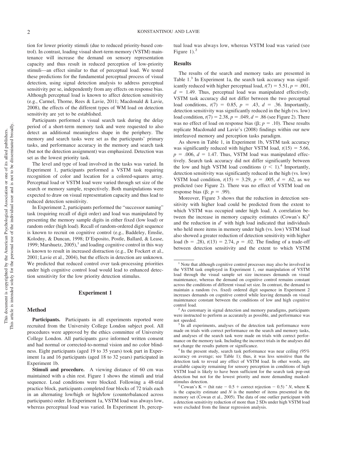tion for lower priority stimuli (due to reduced priority-based control). In contrast, loading visual short-term memory (VSTM) maintenance will increase the demand on sensory representation capacity and thus result in reduced perception of low-priority stimuli—an effect similar to that of perceptual load. We tested these predictions for the fundamental perceptual process of visual detection, using signal detection analysis to address perceptual sensitivity per se, independently from any effects on response bias. Although perceptual load is known to affect detection sensitivity (e.g., Carmel, Thorne, Rees & Lavie, 2011; Macdonald & Lavie, 2008), the effects of the different types of WM load on detection sensitivity are yet to be established.

Participants performed a visual search task during the delay period of a short-term memory task and were requested to also detect an additional meaningless shape in the periphery. The memory and search tasks were set as the participants' primary tasks, and performance accuracy in the memory and search task (but not the detection assignment) was emphasized. Detection was set as the lowest priority task.

The level and type of load involved in the tasks was varied. In Experiment 1, participants performed a VSTM task requiring recognition of color and location for a colored-squares array. Perceptual load or VSTM load were varied through set size of the search or memory sample, respectively. Both manipulations were expected to draw on visual representation capacity and thus lead to reduced detection sensitivity.

In Experiment 2, participants performed the "successor naming" task (requiring recall of digit order) and load was manipulated by presenting the memory sample digits in either fixed (low load) or random order (high load). Recall of random-ordered digit sequence is known to recruit on cognitive control (e.g., Baddeley, Emslie, Kolodny, & Duncan, 1998; D'Esposito, Postle, Ballard, & Lease, 1999; Marshuetz,  $2005$ ,  $\frac{1}{1}$  and loading cognitive control in this way is known to result in increased distraction (e.g., De Fockert et al., 2001; Lavie et al., 2004), but the effects in detection are unknown. We predicted that reduced control over task-processing priorities under high cognitive control load would lead to enhanced detection sensitivity for the low priority detection stimulus.

# **Experiment 1**

## **Method**

tual load was always low, whereas VSTM load was varied (see Figure  $1$ ).<sup>2</sup>

## **Results**

The results of the search and memory tasks are presented in Table  $1<sup>3</sup>$  In Experiment 1a, the search task accuracy was significantly reduced with higher perceptual load,  $t(7) = 5.51$ ,  $p = .001$ ,  $d = 1.49$ . Thus, perceptual load was manipulated effectively. VSTM task accuracy did not differ between the two perceptual load conditions,  $t(7) = 0.85$ ,  $p = .43$ ,  $d = .36$ . Importantly, detection sensitivity was significantly reduced in the high (vs. low) load condition,  $t(7) = 2.38$ ,  $p = .049$ ,  $d = .86$  (see Figure 2). There was no effect of load on response bias ( $\beta$ ;  $p = .10$ ). These results replicate Macdonald and Lavie's (2008) findings within our new interleaved memory and perception tasks paradigm.

As shown in Table 1, in Experiment 1b, VSTM task accuracy was significantly reduced with higher VSTM load,  $t(15) = 5.66$ ,  $p = .006$ ,  $d = 1.47$ . Thus, VSTM load was manipulated effectively. Search task accuracy did not differ significantly between the low and high VSTM load conditions  $(t < 1)^4$  Importantly, detection sensitivity was significantly reduced in the high (vs. low) VSTM load condition,  $t(15) = 3.29$ ,  $p = .005$ ,  $d = .62$ , as we predicted (see Figure 2). There was no effect of VSTM load on response bias ( $\beta$ ; *p* = .99).

Moreover, Figure 3 shows that the reduction in detection sensitivity with higher load could be predicted from the extent to which VSTM was occupied under high load. A correlation between the increase in memory capacity estimates (Cowan's  $K$ )<sup>5</sup> and the reduction in  $d'$  with high load indicated that individuals who held more items in memory under high (vs. low) VSTM load also showed a greater reduction of detection sensitivity with higher load (b = .28),  $t(13) = 2.74$ ,  $p = .02$ . The finding of a trade-off between detection sensitivity and the extent to which VSTM

**Participants.** Participants in all experiments reported were recruited from the University College London subject pool. All procedures were approved by the ethics committee of University College London. All participants gave informed written consent and had normal or corrected-to-normal vision and no color blindness. Eight participants (aged 19 to 35 years) took part in Experiment 1a and 16 participants (aged 18 to 32 years) participated in Experiment 1b.

**Stimuli and procedure.** A viewing distance of 60 cm was maintained with a chin rest. Figure 1 shows the stimuli and trial sequence. Load conditions were blocked. Following a 48-trial practice block, participants completed four blocks of 72 trials each in an alternating low/high or high/low (counterbalanced across participants) order. In Experiment 1a, VSTM load was always low, whereas perceptual load was varied. In Experiment 1b, percep-

<sup>&</sup>lt;sup>1</sup> Note that although cognitive control processes may also be involved in the VSTM task employed in Experiment 1, our manipulation of VSTM load through the visual sample set size increases demands on visual maintenance, whereas the demand on cognitive control remains constant across the conditions of different visual set size. In contrast, the demand to maintain a random (vs. fixed) ordered digit sequence in Experiment 2 increases demands on cognitive control while leaving demands on visual maintenance constant between the conditions of low and high cognitive control load.<br><sup>2</sup> As customary in signal detection and memory paradigms, participants

were instructed to perform as accurately as possible, and performance was

not speeded. <sup>3</sup> In all experiments, analyses of the detection task performance were made on trials with correct performance on the search and memory tasks, and analyses of the search task were made on trials with correct performance on the memory task. Including the incorrect trials in the analyses did not change the results pattern or significance.<br><sup>4</sup> In the present study, search task performance was near ceiling (95%)

accuracy on average; see Table 1); thus, it was less sensitive than the detection task to reveal any effect of VSTM load. In other words, any available capacity remaining for sensory perception in conditions of high VSTM load is likely to have been sufficient for the search task pop-out detection but not for the lowest priority and more demanding masked-

stimulus detection.<br><sup>5</sup> Cowan's K = (hit rate  $-0.5$  + correct rejection  $-0.5$ )  $^*$  *N*, where K is the capacity estimate and *N* is the number of items presented in the memory set (Cowan et al., 2005). The data of one outlier participant with a detection sensitivity reduction of more than 2 SDs under high VSTM load were excluded from the linear regression analysis.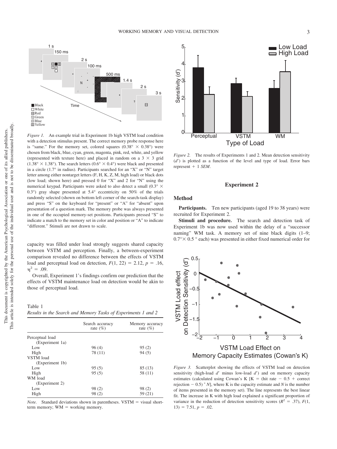*Figure 1.* An example trial in Experiment 1b high VSTM load condition with a detection stimulus present. The correct memory probe response here is "same." For the memory set, colored squares  $(0.38^\circ \times 0.38^\circ)$  were chosen from black, blue, cyan, green, magenta, pink, red, white, and yellow (represented with texture here) and placed in random on a  $3 \times 3$  grid  $(1.38^\circ \times 1.38^\circ)$ . The search letters  $(0.6^\circ \times 0.4^\circ)$  were black and presented in a circle (1.7° in radius). Participants searched for an "X" or "N" target letter among either nontarget letters (F, H, K, Z, M, high load) or black dots (low load; shown here) and pressed 0 for "X" and 2 for "N" using the numerical keypad. Participants were asked to also detect a small ( $0.3^\circ \times$ 0.3°) gray shape presented at 5.4° eccentricity on 50% of the trials randomly selected (shown on bottom left corner of the search-task display) and press "S" on the keyboard for "present" or "A" for "absent" upon presentation of a question mark. The memory probe was always presented in one of the occupied memory-set positions. Participants pressed "S" to indicate a match to the memory set in color and position or "A" to indicate "different." Stimuli are not drawn to scale.

100 ms

2 s

N

500 ms

1.4 s

?

2 s

 $\qquad \qquad \qquad \qquad \qquad \qquad \qquad \qquad \qquad \qquad$ 

capacity was filled under load strongly suggests shared capacity between VSTM and perception. Finally, a between-experiment comparison revealed no difference between the effects of VSTM load and perceptual load on detection,  $F(1, 22) = 2.12$ ,  $p = .16$ ,  $\eta^2 = .09$ .

Overall, Experiment 1's findings confirm our prediction that the effects of VSTM maintenance load on detection would be akin to those of perceptual load.

Table 1 *Results in the Search and Memory Tasks of Experiments 1 and 2*

Search accuracy rate  $(\% )$ 

Memory accuracy rate  $(\% )$ 

| Low            | 95(5) | 85 (13) |
|----------------|-------|---------|
| High           | 95(5) | 58 (11) |
| WM load        |       |         |
| (Experiment 2) |       |         |
| Low            | 98(2) | 98(2)   |
| High           | 98(2) | 59 (21) |

Low  $96 (4)$  95 (2) High 78 (11) 94 (5)

**Standard deviations shown in parentheses. VSTM = visual short**term memory;  $WM =$  working memory.

*Figure 2.* The results of Experiments 1 and 2. Mean detection sensitivity  $(d')$  is plotted as a function of the level and type of load. Error bars represent + 1 *SEM*.

# **Experiment 2**

#### **Method**

**Participants.** Ten new participants (aged 19 to 38 years) were recruited for Experiment 2.

**Stimuli and procedure.** The search and detection task of Experiment 1b was now used within the delay of a "successor naming" WM task. A memory set of nine black digits (1-9;  $0.7^\circ \times 0.5^\circ$  each) was presented in either fixed numerical order for



3 s



Perceptual load (Experiment 1a)

1 s

**Black** Time

□White Red **SS** Green  $Z$ Blue Yellow 150 ms

 $\equiv$   $\blacksquare$ n<br>Na

VSTM load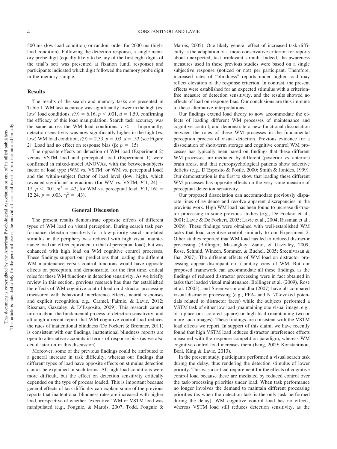500 ms (low-load condition) or random order for 2000 ms (highload condition). Following the detection response, a single memory probe digit (equally likely to be any of the first eight digits of the trial's set) was presented at fixation (until response) and participants indicated which digit followed the memory probe digit in the memory sample.

## **Results**

The results of the search and memory tasks are presented in Table 1. WM task accuracy was significantly lower in the high (vs. low) load conditions,  $t(9) = 6.16$ ,  $p < .001$ ,  $d = 1.59$ , confirming the efficacy of this load manipulation. Search task accuracy was the same across the WM load conditions,  $t < 1$ . Importantly, detection sensitivity was now significantly higher in the high (vs. low) WM load condition,  $t(9) = 2.53$ ,  $p = .03$ ,  $d = .53$  (see Figure 2). Load had no effect on response bias  $(\beta; p = .15)$ .

The opposite effects on detection of WM load (Experiment 2) versus VSTM load and perceptual load (Experiment 1) were confirmed in mixed-model ANOVAs, with the between-subjects factor of load type (WM vs. VSTM; or WM vs. perceptual load) and the within-subject factor of load level (low, high), which revealed significant interactions (for WM vs. VSTM,  $F[1, 24] =$ 17,  $p < .001$ ,  $\eta^2 = .42$ ; for WM vs. perceptual load,  $F[1, 16] =$ 12.24,  $p = .003$ ,  $\eta^2 = .43$ ).

# **General Discussion**

The present results demonstrate opposite effects of different types of WM load on visual perception. During search task performance, detection sensitivity for a low-priority search-unrelated stimulus in the periphery was reduced with high visual maintenance load (an effect equivalent to that of perceptual load), but was enhanced with high load on WM cognitive control processes. These findings support our predictions that loading the different WM maintenance versus control functions would have opposite effects on perception, and demonstrate, for the first time, critical roles for these WM functions in detection sensitivity. As we briefly review in this section, previous research has thus far established the effects of WM cognitive control load on distractor processing (measured with behavioral interference effects, neural responses and explicit recognition, e.g., Carmel, Fairnie, & Lavie, 2012; Rissman, Gazzaley, & D'Esposito, 2009). This research cannot inform about the fundamental process of detection sensitivity, and although a recent report that WM cognitive control load reduces the rates of inattentional blindness (De Fockert & Bremner, 2011) is consistent with our findings, inattentional blindness reports are open to alternative accounts in terms of response bias (as we also detail later on in this discussion).

Moreover, some of the previous findings could be attributed to a general increase in task difficulty, whereas our findings that different types of load have opposite effects on stimulus detection cannot be explained in such terms. All high-load conditions were more difficult, but the effect on detection sensitivity critically depended on the type of process loaded. This is important because general effects of task difficulty can explain some of the previous reports that inattentional blindness rates are increased with higher load, irrespective of whether "executive" WM or VSTM load was manipulated (e.g., Fougnie, & Marois, 2007; Todd, Fougnie & Marois, 2005). One likely general effect of increased task difficulty is the adaptation of a more conservative criterion for reports about unexpected, task-irrelevant stimuli. Indeed, the awareness measures used in these previous studies were based on a single subjective response (noticed or not) per participant. Therefore, increased rates of "blindness" reports under higher load may reflect elevation of the response criterion. In contrast, the present effects were established for an expected stimulus with a criterionfree measure of detection sensitivity, and the results showed no effects of load on response bias. Our conclusions are thus immune to these alternative interpretations.

Our findings extend load theory to now accommodate the effects of loading different WM processes of maintenance and cognitive control, and demonstrate a new functional dissociation between the roles of these WM processes in the fundamental perception process of visual detection. Previous evidence for a dissociation of short-term storage and cognitive control WM processes has typically been based on findings that these different WM processes are mediated by different (posterior vs. anterior) brain areas, and that neuropsychological patients show selective deficits (e.g., D'Esposito & Postle, 2000; Smith & Jonides, 1999). Our demonstration is the first to show that loading these different WM processes has opposite effects on the very same measure of perceptual detection sensitivity.

Our proposed dissociation can accommodate previously disparate lines of evidence and resolve apparent discrepancies in the previous work. High WM load has been found to increase distractor processing in some previous studies (e.g., De Fockert et al., 2001; Lavie & De Fockert, 2005; Lavie et al., 2004; Rissman et al., 2009). These findings were obtained with well-established WM tasks that load cognitive control similarly to our Experiment 2. Other studies reported that WM load has led to reduced distractor processing (Bollinger, Masangkay, Zanto, & Gazzaley, 2009; Rose, Schmid, Winzen, Sommer, & Buchel, 2005; Sreenivasan & Jha, 2007). The different effects of WM load on distractor processing appear discrepant on a unitary view of WM. But our proposed framework can accommodate all these findings, as the findings of reduced distractor processing were in fact obtained in tasks that loaded visual maintenance. Bollinger et al. (2009), Rose et al. (2005), and Sreenivasan and Jha (2007) have all compared visual distractor processing (e.g., FFA- and N170-evoked potentials related to distractor faces) while the subjects performed a VSTM task of either low load (maintaining one visual image, e.g., of a place or a colored square) or high load (maintaining two or more such images). These findings are consistent with the VSTM load effects we report. In support of this claim, we have recently found that high VSTM load reduces distractor interference effects measured with the response competition paradigm, whereas WM cognitive control load increases them (King, 2009; Konstantinou, Beal, King & Lavie, 2013).

In the present study, participants performed a visual search task during the delay, thus rendering the detection stimulus of lower priority. This was a critical requirement for the effects of cognitive control load because these are mediated by reduced control over the task-processing priorities under load. When task performance no longer involves the demand to maintain different processing priorities (as when the detection task is the only task performed during the delay), WM cognitive control load has no effects, whereas VSTM load still reduces detection sensitivity, as the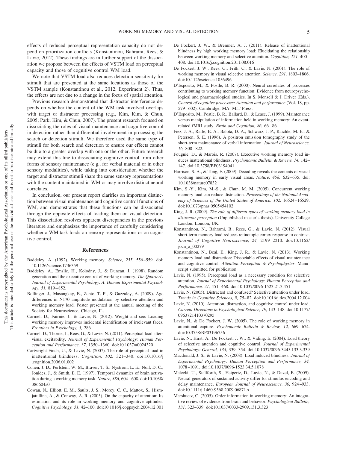effects of reduced perceptual representation capacity do not depend on prioritization conflicts (Konstantinou, Bahrami, Rees, & Lavie, 2012). These findings are in further support of the dissociation we propose between the effects of VSTM load on perceptual capacity and those of cognitive control WM load.

We note that VSTM load also reduces detection sensitivity for stimuli that are presented at the same locations as those of the VSTM sample (Konstantinou et al., 2012, Experiment 2). Thus, the effects are not due to a change in the focus of spatial attention.

Previous research demonstrated that distractor interference depends on whether the content of the WM task involved overlaps with target or distractor processing (e.g., Kim, Kim, & Chun, 2005; Park, Kim, & Chun, 2007). The present research focused on dissociating the roles of visual maintenance and cognitive control in detection rather than differential involvement in processing the search or detection stimuli. We therefore used the same type of stimuli for both search and detection to ensure our effects cannot be due to a greater overlap with one or the other. Future research may extend this line to dissociating cognitive control from other forms of sensory maintenance (e.g., for verbal material or in other sensory modalities), while taking into consideration whether the target and distractor stimuli share the same sensory representations with the content maintained in WM or may involve distinct neural correlates.

In conclusion, our present report clarifies an important distinction between visual maintenance and cognitive control functions of WM, and demonstrates that these functions can be dissociated through the opposite effects of loading them on visual detection. This dissociation resolves apparent discrepancies in the previous literature and emphasizes the importance of carefully considering whether a WM task loads on sensory representations or on cognitive control.

# **References**

- Baddeley, A. (1992). Working memory. *Science, 255,* 556 –559. doi: 10.1126/science.1736359
- Baddeley, A., Emslie, H., Kolodny, J., & Duncan, J. (1998). Random generation and the executive control of working memory. *The Quarterly Journal of Experimental Psychology*. *A*. *Human Experimental Psychology*, *51,* 819 – 852.
- Bollinger, J., Masangkay, E., Zanto, T. P., & Gazzaley, A. (2009). Age differences in N170 amplitude modulation by selective attention and working memory load. Poster presented at the annual meeting of the Society for Neuroscience, Chicago, IL.
- Carmel, D., Fairnie, J., & Lavie, N. (2012). Weight and see: Loading working memory improves incidental identification of irrelevant faces. *Frontiers in Psychology, 3,* 286.
- Carmel, D., Thorne, J., Rees, G., & Lavie, N. (2011). Perceptual load alters visual excitability. *Journal of Experimental Psychology: Human Perception and Performance, 37,* 1350 –1360. doi:10.1037/a0024320
- Cartwright-Finch, U., & Lavie, N. (2007). The role of perceptual load in inattentional blindness. *Cognition, 102,* 321–340. doi:10.1016/j .cognition.2006.01.002
- Cohen, J. D., Perlstein, W. M., Braver, T. S., Nystrom, L. E., Noll, D. C., Jonides, J., & Smith, E. E. (1997). Temporal dynamics of brain activation during a working memory task. *Nature, 386,* 604 – 608. doi:10.1038/ 386604a0
- Cowan, N., Elliott, E. M., Saults, J. S., Morey, C. C., Mattox, S., Hismjatullina, A., & Conway, A. R. (2005). On the capacity of attention: Its estimation and its role in working memory and cognitive aptitudes. *Cognitive Psychology, 51,* 42–100. doi:10.1016/j.cogpsych.2004.12.001
- De Fockert, J. W., & Bremner, A. J. (2011). Release of inattentional blindness by high working memory load: Elucidating the relationship between working memory and selective attention. *Cognition, 121,* 400 – 408. doi:10.1016/j.cognition.2011.08.016
- De Fockert, J. W., Rees, G., Frith, C., & Lavie, N. (2001). The role of working memory in visual selective attention. *Science, 291,* 1803–1806. doi:10.1126/science.1056496
- D'Esposito, M., & Postle, B. R. (2000). Neural correlates of processes contributing to working memory function: Evidence from neuropsychological and pharmacological studies. In S. Monsell & J. Driver (Eds.), *Control of cognitive processes: Attention and performance* (Vol. 18, pp. 579 – 602). Cambridge, MA: MIT Press.
- D'Esposito, M., Postle, B. R., Ballard, D., & Lease, J. (1999). Maintenance versus manipulation of information held in working memory: An eventrelated fMRI study. *Brain and Cognition, 86,* 66 – 86.
- Fiez, J. A., Raife, E. A., Balota, D. A., Schwarz, J. P., Raichle, M. E., & Petersen, S. E. (1996). A positron emission tomography study of the short-term maintenance of verbal information. *Journal of Neuroscience, 16,* 808 – 822.
- Fougnie, D., & Marois, R. (2007). Executive working memory load induces inattentional blindness. *Psychonomic Bulletin & Review, 14,* 142– 147. doi:10.3758/BF03194041
- Harrison, S. A., & Tong, F. (2009). Decoding reveals the contents of visual working memory in early visual areas. *Nature*, 458, 632-635. doi: 10.1038/nature07832
- Kim, S.-Y., Kim, M.-S., & Chun, M. M. (2005). Concurrent working memory load can reduce distraction. *Proceedings of the National Academy of Sciences of the United States of America, 102,* 16524 –16529. doi:10.1073/pnas.0505454102
- King, J. R. (2009). *The role of different types of working memory load in distractor perception* (Unpublished master's thesis). University College London, London, UK.
- Konstantinou, N., Bahrami, B., Rees, G., & Lavie, N. (2012). Visual short-term memory load reduces retinotopic cortex response to contrast. *Journal of Cognitive Neuroscience, 24,* 2199 –2210. doi:10.1162/ jocn\_a\_00279
- Konstantinou, N., Beal, E., King, J. R., & Lavie, N. (2013). Working memory load and distraction: Dissociable effects of visual maintenance and cognitive control. *Attention Perception & Psychophysics*. Manuscript submitted for publication.
- Lavie, N. (1995). Perceptual load as a necessary condition for selective attention. *Journal of Experimental Psychology: Human Perception and Performance, 21,* 451– 468. doi:10.1037/0096-1523.21.3.451
- Lavie, N. (2005). Distracted and confused? Selective attention under load. *Trends in Cognitive Sciences, 9,* 75– 82. doi:10.1016/j.tics.2004.12.004
- Lavie, N. (2010). Attention, distraction, and cognitive control under load. *Current Directions in Psychological Science, 19,* 143–148. doi:10.1177/ 0963721410370295
- Lavie, N., & De Fockert, J. W. (2005). The role of working memory in attentional capture. *Psychonomic Bulletin & Review, 12, 669-674*. doi:10.3758/BF03196756
- Lavie, N., Hirst, A., De Fockert, J. W., & Viding, E. (2004). Load theory of selective attention and cognitive control. *Journal of Experimental Psychology: General, 133,* 339 –354. doi:10.1037/0096-3445.133.3.339
- Macdonald, J. S., & Lavie, N. (2008). Load induced blindness. *Journal of Experimental Psychology: Human Perception and Performance, 34,* 1078 –1091. doi:10.1037/0096-1523.34.5.1078
- Malecki, U., Stallforth, S., Heipertz, D., Lavie, N., & Duzel, E. (2009). Neural generators of sustained activity differ for stimulus-encoding and delay maintenance. *European Journal of Neuroscience, 30,* 924 –933. doi:10.1111/j.1460-9568.2009.06871.x
- Marshuetz, C. (2005). Order information in working memory: An integrative review of evidence from brain and behavior. *Psychological Bulletin, 131,* 323–339. doi:10.1037/0033-2909.131.3.323